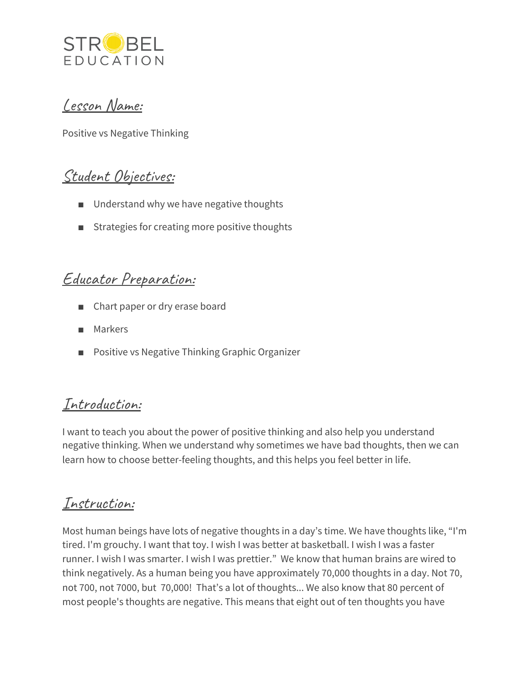

#### Lesson Name:

Positive vs Negative Thinking

## Student Objectives:

- Understand why we have negative thoughts
- Strategies for creating more positive thoughts

#### Educator Preparation:

- Chart paper or dry erase board
- Markers
- Positive vs Negative Thinking Graphic Organizer

## Introduction:

I want to teach you about the power of positive thinking and also help you understand negative thinking. When we understand why sometimes we have bad thoughts, then we can learn how to choose better-feeling thoughts, and this helps you feel better in life.

## Instruction:

Most human beings have lots of negative thoughts in a day's time. We have thoughts like, "I'm tired. I'm grouchy. I want that toy. I wish I was better at basketball. I wish I was a faster runner. I wish I was smarter. I wish I was prettier." We know that human brains are wired to think negatively. As a human being you have approximately 70,000 thoughts in a day. Not 70, not 700, not 7000, but 70,000! That's a lot of thoughts... We also know that 80 percent of most people's thoughts are negative. This means that eight out of ten thoughts you have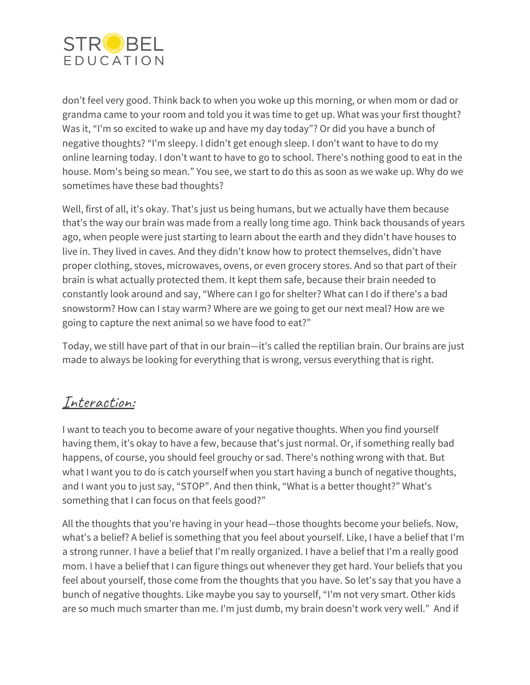

don't feel very good. Think back to when you woke up this morning, or when mom or dad or grandma came to your room and told you it was time to get up. What was your first thought? Was it, "I'm so excited to wake up and have my day today"? Or did you have a bunch of negative thoughts? "I'm sleepy. I didn't get enough sleep. I don't want to have to do my online learning today. I don't want to have to go to school. There's nothing good to eat in the house. Mom's being so mean." You see, we start to do this as soon as we wake up. Why do we sometimes have these bad thoughts?

Well, first of all, it's okay. That's just us being humans, but we actually have them because that's the way our brain was made from a really long time ago. Think back thousands of years ago, when people were just starting to learn about the earth and they didn't have houses to live in. They lived in caves. And they didn't know how to protect themselves, didn't have proper clothing, stoves, microwaves, ovens, or even grocery stores. And so that part of their brain is what actually protected them. It kept them safe, because their brain needed to constantly look around and say, "Where can I go for shelter? What can I do if there's a bad snowstorm? How can I stay warm? Where are we going to get our next meal? How are we going to capture the next animal so we have food to eat?"

Today, we still have part of that in our brain—it's called the reptilian brain. Our brains are just made to always be looking for everything that is wrong, versus everything that is right.

## Interaction:

I want to teach you to become aware of your negative thoughts. When you find yourself having them, it's okay to have a few, because that's just normal. Or, if something really bad happens, of course, you should feel grouchy or sad. There's nothing wrong with that. But what I want you to do is catch yourself when you start having a bunch of negative thoughts, and I want you to just say, "STOP". And then think, "What is a better thought?" What's something that I can focus on that feels good?"

All the thoughts that you're having in your head—those thoughts become your beliefs. Now, what's a belief? A belief is something that you feel about yourself. Like, I have a belief that I'm a strong runner. I have a belief that I'm really organized. I have a belief that I'm a really good mom. I have a belief that I can figure things out whenever they get hard. Your beliefs that you feel about yourself, those come from the thoughts that you have. So let's say that you have a bunch of negative thoughts. Like maybe you say to yourself, "I'm not very smart. Other kids are so much much smarter than me. I'm just dumb, my brain doesn't work very well." And if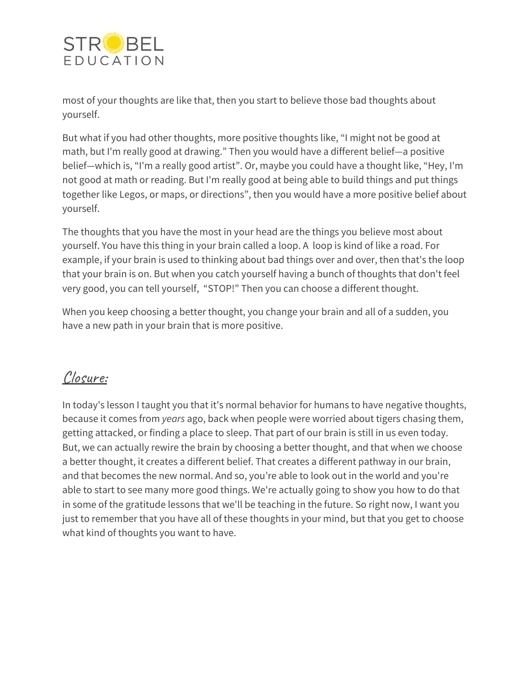

most of your thoughts are like that, then you start to believe those bad thoughts about yourself.

But what if you had other thoughts, more positive thoughts like, "I might not be good at math, but I'm really good at drawing." Then you would have a different belief—a positive belief—which is, "I'm a really good artist". Or, maybe you could have a thought like, "Hey, I'm not good at math or reading. But I'm really good at being able to build things and put things together like Legos, or maps, or directions", then you would have a more positive belief about yourself.

The thoughts that you have the most in your head are the things you believe most about yourself. You have this thing in your brain called a loop. A loop is kind of like a road. For example, if your brain is used to thinking about bad things over and over, then that's the loop that your brain is on. But when you catch yourself having a bunch of thoughts that don't feel very good, you can tell yourself, "STOP!" Then you can choose a different thought.

When you keep choosing a better thought, you change your brain and all of a sudden, you have a new path in your brain that is more positive.

# Closure:

In today's lesson I taught you that it's normal behavior for humans to have negative thoughts, because it comes from *years* ago, back when people were worried about tigers chasing them, getting attacked, or finding a place to sleep. That part of our brain is still in us even today. But, we can actually rewire the brain by choosing a better thought, and that when we choose a better thought, it creates a different belief. That creates a different pathway in our brain, and that becomes the new normal. And so, you're able to look out in the world and you're able to start to see many more good things. We're actually going to show you how to do that in some of the gratitude lessons that we'll be teaching in the future. So right now, I want you just to remember that you have all of these thoughts in your mind, but that you get to choose what kind of thoughts you want to have.